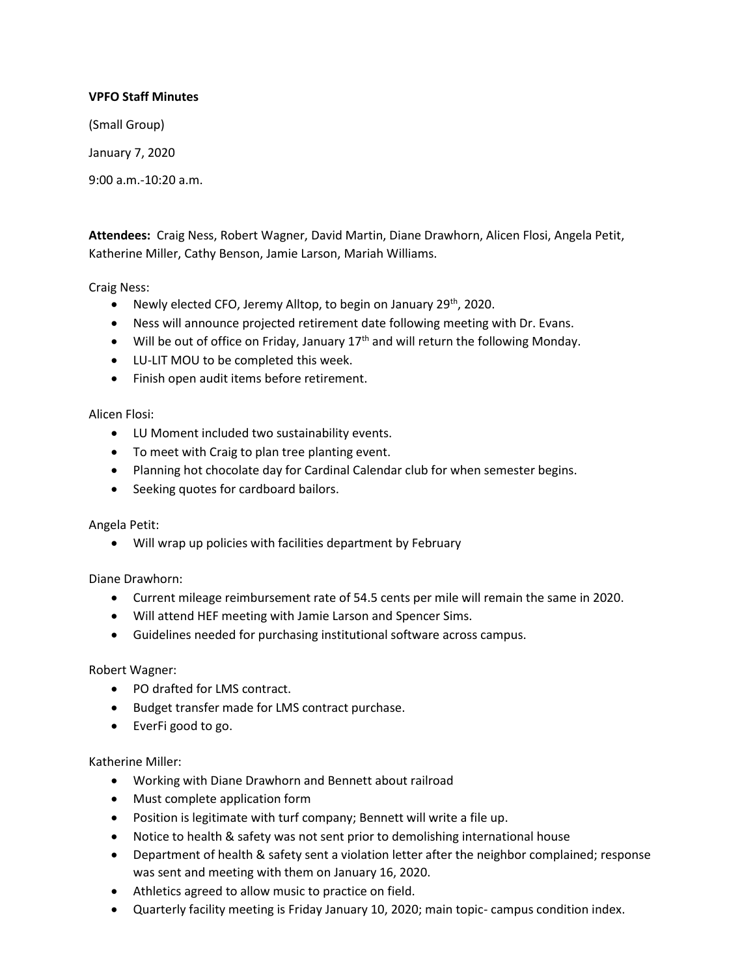# **VPFO Staff Minutes**

(Small Group)

January 7, 2020

9:00 a.m.-10:20 a.m.

**Attendees:** Craig Ness, Robert Wagner, David Martin, Diane Drawhorn, Alicen Flosi, Angela Petit, Katherine Miller, Cathy Benson, Jamie Larson, Mariah Williams.

Craig Ness:

- Newly elected CFO, Jeremy Alltop, to begin on January 29<sup>th</sup>, 2020.
- Ness will announce projected retirement date following meeting with Dr. Evans.
- Will be out of office on Friday, January  $17<sup>th</sup>$  and will return the following Monday.
- LU-LIT MOU to be completed this week.
- Finish open audit items before retirement.

Alicen Flosi:

- LU Moment included two sustainability events.
- To meet with Craig to plan tree planting event.
- Planning hot chocolate day for Cardinal Calendar club for when semester begins.
- Seeking quotes for cardboard bailors.

## Angela Petit:

Will wrap up policies with facilities department by February

Diane Drawhorn:

- Current mileage reimbursement rate of 54.5 cents per mile will remain the same in 2020.
- Will attend HEF meeting with Jamie Larson and Spencer Sims.
- Guidelines needed for purchasing institutional software across campus.

## Robert Wagner:

- PO drafted for LMS contract.
- Budget transfer made for LMS contract purchase.
- EverFi good to go.

## Katherine Miller:

- Working with Diane Drawhorn and Bennett about railroad
- Must complete application form
- Position is legitimate with turf company; Bennett will write a file up.
- Notice to health & safety was not sent prior to demolishing international house
- Department of health & safety sent a violation letter after the neighbor complained; response was sent and meeting with them on January 16, 2020.
- Athletics agreed to allow music to practice on field.
- Quarterly facility meeting is Friday January 10, 2020; main topic- campus condition index.